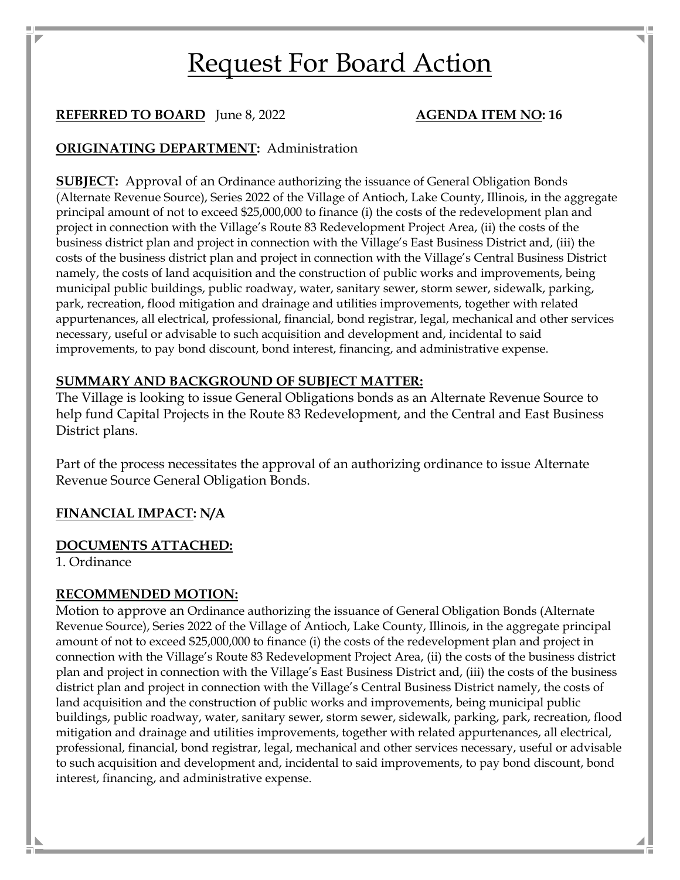# Request For Board Action

# **REFERRED TO BOARD** June 8, 2022 **AGENDA ITEM NO: 16**

# **ORIGINATING DEPARTMENT:** Administration

**SUBJECT:** Approval of an Ordinance authorizing the issuance of General Obligation Bonds (Alternate Revenue Source), Series 2022 of the Village of Antioch, Lake County, Illinois, in the aggregate principal amount of not to exceed \$25,000,000 to finance (i) the costs of the redevelopment plan and project in connection with the Village's Route 83 Redevelopment Project Area, (ii) the costs of the business district plan and project in connection with the Village's East Business District and, (iii) the costs of the business district plan and project in connection with the Village's Central Business District namely, the costs of land acquisition and the construction of public works and improvements, being municipal public buildings, public roadway, water, sanitary sewer, storm sewer, sidewalk, parking, park, recreation, flood mitigation and drainage and utilities improvements, together with related appurtenances, all electrical, professional, financial, bond registrar, legal, mechanical and other services necessary, useful or advisable to such acquisition and development and, incidental to said improvements, to pay bond discount, bond interest, financing, and administrative expense.

# **SUMMARY AND BACKGROUND OF SUBJECT MATTER:**

The Village is looking to issue General Obligations bonds as an Alternate Revenue Source to help fund Capital Projects in the Route 83 Redevelopment, and the Central and East Business District plans.

Part of the process necessitates the approval of an authorizing ordinance to issue Alternate Revenue Source General Obligation Bonds.

# **FINANCIAL IMPACT: N/A**

# **DOCUMENTS ATTACHED:**

1. Ordinance

## **RECOMMENDED MOTION:**

Motion to approve an Ordinance authorizing the issuance of General Obligation Bonds (Alternate Revenue Source), Series 2022 of the Village of Antioch, Lake County, Illinois, in the aggregate principal amount of not to exceed \$25,000,000 to finance (i) the costs of the redevelopment plan and project in connection with the Village's Route 83 Redevelopment Project Area, (ii) the costs of the business district plan and project in connection with the Village's East Business District and, (iii) the costs of the business district plan and project in connection with the Village's Central Business District namely, the costs of land acquisition and the construction of public works and improvements, being municipal public buildings, public roadway, water, sanitary sewer, storm sewer, sidewalk, parking, park, recreation, flood mitigation and drainage and utilities improvements, together with related appurtenances, all electrical, professional, financial, bond registrar, legal, mechanical and other services necessary, useful or advisable to such acquisition and development and, incidental to said improvements, to pay bond discount, bond interest, financing, and administrative expense.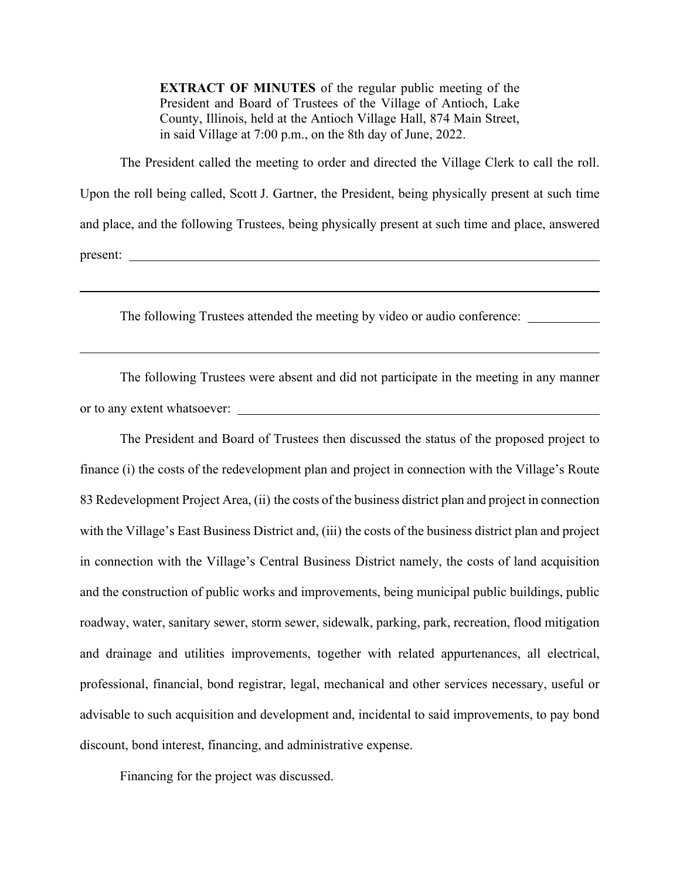**EXTRACT OF MINUTES** of the regular public meeting of the President and Board of Trustees of the Village of Antioch, Lake County, Illinois, held at the Antioch Village Hall, 874 Main Street, in said Village at 7:00 p.m., on the 8th day of June, 2022.

The President called the meeting to order and directed the Village Clerk to call the roll. Upon the roll being called, Scott J. Gartner, the President, being physically present at such time and place, and the following Trustees, being physically present at such time and place, answered present:

The following Trustees attended the meeting by video or audio conference:

The following Trustees were absent and did not participate in the meeting in any manner or to any extent whatsoever:

The President and Board of Trustees then discussed the status of the proposed project to finance (i) the costs of the redevelopment plan and project in connection with the Village's Route 83 Redevelopment Project Area, (ii) the costs of the business district plan and project in connection with the Village's East Business District and, (iii) the costs of the business district plan and project in connection with the Village's Central Business District namely, the costs of land acquisition and the construction of public works and improvements, being municipal public buildings, public roadway, water, sanitary sewer, storm sewer, sidewalk, parking, park, recreation, flood mitigation and drainage and utilities improvements, together with related appurtenances, all electrical, professional, financial, bond registrar, legal, mechanical and other services necessary, useful or advisable to such acquisition and development and, incidental to said improvements, to pay bond discount, bond interest, financing, and administrative expense.

Financing for the project was discussed.

l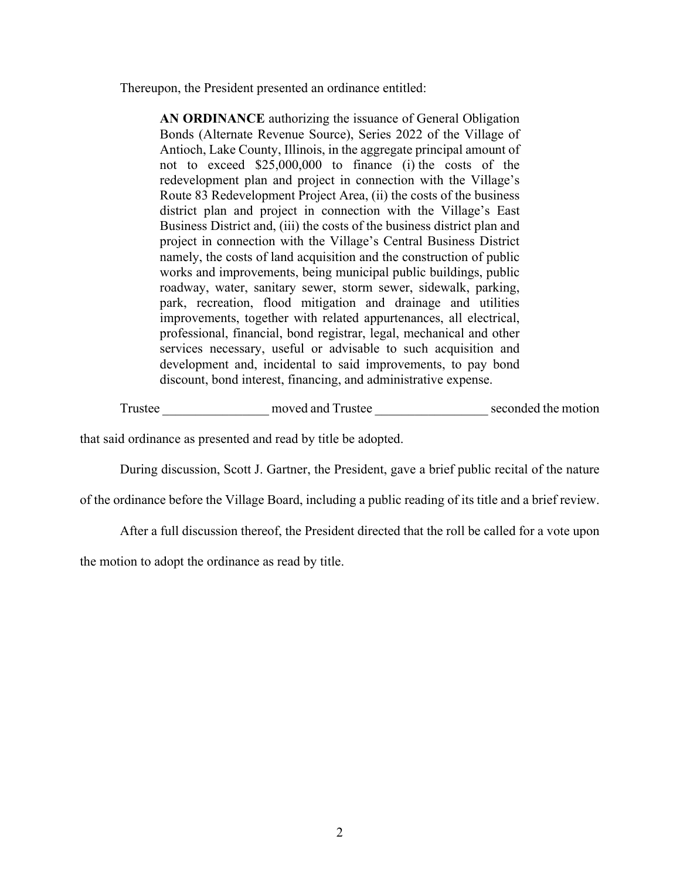Thereupon, the President presented an ordinance entitled:

**AN ORDINANCE** authorizing the issuance of General Obligation Bonds (Alternate Revenue Source), Series 2022 of the Village of Antioch, Lake County, Illinois, in the aggregate principal amount of not to exceed \$25,000,000 to finance (i) the costs of the redevelopment plan and project in connection with the Village's Route 83 Redevelopment Project Area, (ii) the costs of the business district plan and project in connection with the Village's East Business District and, (iii) the costs of the business district plan and project in connection with the Village's Central Business District namely, the costs of land acquisition and the construction of public works and improvements, being municipal public buildings, public roadway, water, sanitary sewer, storm sewer, sidewalk, parking, park, recreation, flood mitigation and drainage and utilities improvements, together with related appurtenances, all electrical, professional, financial, bond registrar, legal, mechanical and other services necessary, useful or advisable to such acquisition and development and, incidental to said improvements, to pay bond discount, bond interest, financing, and administrative expense.

Trustee moved and Trustee seconded the motion

that said ordinance as presented and read by title be adopted.

During discussion, Scott J. Gartner, the President, gave a brief public recital of the nature

of the ordinance before the Village Board, including a public reading of its title and a brief review.

After a full discussion thereof, the President directed that the roll be called for a vote upon

the motion to adopt the ordinance as read by title.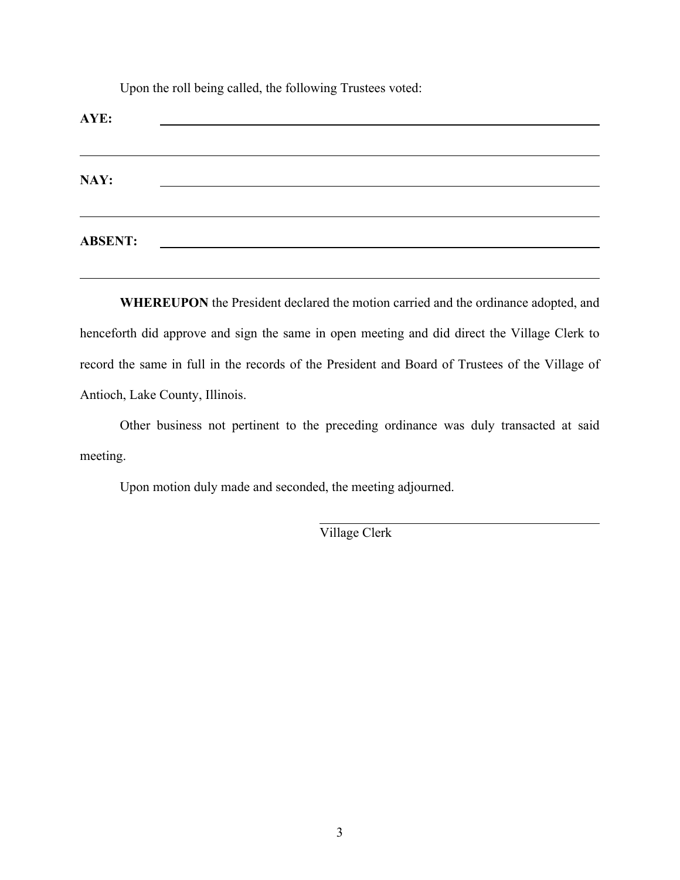Upon the roll being called, the following Trustees voted:

| AYE:           |                                           |                                                    |  |  |
|----------------|-------------------------------------------|----------------------------------------------------|--|--|
| NAY:           |                                           | <u> 1989 - John Stein, Amerikaansk politiker (</u> |  |  |
| <b>ABSENT:</b> | <u> 1980 - Jan Barat, prima politik (</u> |                                                    |  |  |

**WHEREUPON** the President declared the motion carried and the ordinance adopted, and henceforth did approve and sign the same in open meeting and did direct the Village Clerk to record the same in full in the records of the President and Board of Trustees of the Village of Antioch, Lake County, Illinois.

Other business not pertinent to the preceding ordinance was duly transacted at said meeting.

 $\overline{a}$ 

Upon motion duly made and seconded, the meeting adjourned.

Village Clerk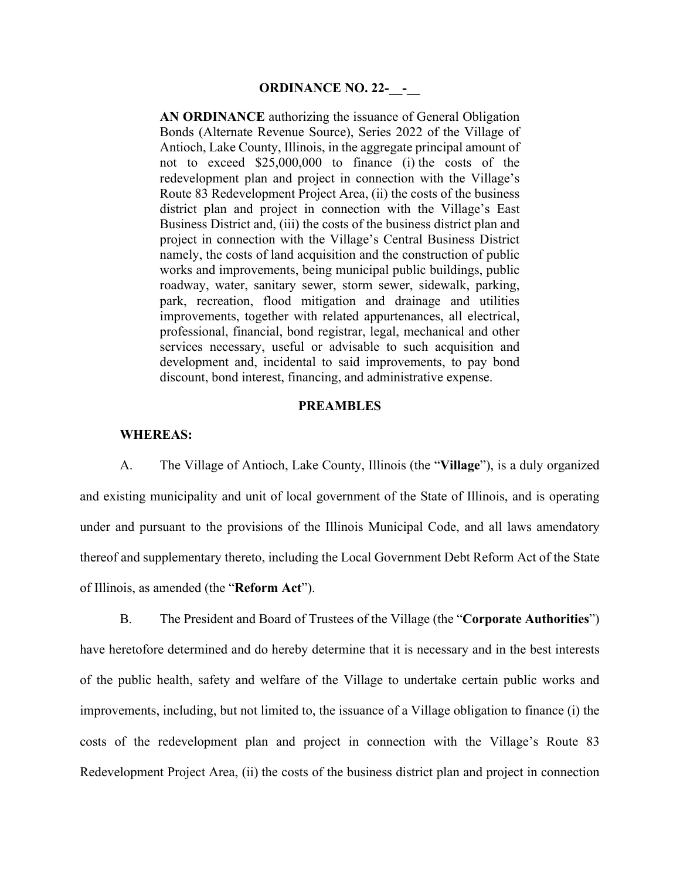**AN ORDINANCE** authorizing the issuance of General Obligation Bonds (Alternate Revenue Source), Series 2022 of the Village of Antioch, Lake County, Illinois, in the aggregate principal amount of not to exceed \$25,000,000 to finance (i) the costs of the redevelopment plan and project in connection with the Village's Route 83 Redevelopment Project Area, (ii) the costs of the business district plan and project in connection with the Village's East Business District and, (iii) the costs of the business district plan and project in connection with the Village's Central Business District namely, the costs of land acquisition and the construction of public works and improvements, being municipal public buildings, public roadway, water, sanitary sewer, storm sewer, sidewalk, parking, park, recreation, flood mitigation and drainage and utilities improvements, together with related appurtenances, all electrical, professional, financial, bond registrar, legal, mechanical and other services necessary, useful or advisable to such acquisition and development and, incidental to said improvements, to pay bond discount, bond interest, financing, and administrative expense.

#### **PREAMBLES**

#### **WHEREAS:**

A. The Village of Antioch, Lake County, Illinois (the "**Village**"), is a duly organized and existing municipality and unit of local government of the State of Illinois, and is operating under and pursuant to the provisions of the Illinois Municipal Code, and all laws amendatory thereof and supplementary thereto, including the Local Government Debt Reform Act of the State of Illinois, as amended (the "**Reform Act**").

B. The President and Board of Trustees of the Village (the "**Corporate Authorities**") have heretofore determined and do hereby determine that it is necessary and in the best interests of the public health, safety and welfare of the Village to undertake certain public works and improvements, including, but not limited to, the issuance of a Village obligation to finance (i) the costs of the redevelopment plan and project in connection with the Village's Route 83 Redevelopment Project Area, (ii) the costs of the business district plan and project in connection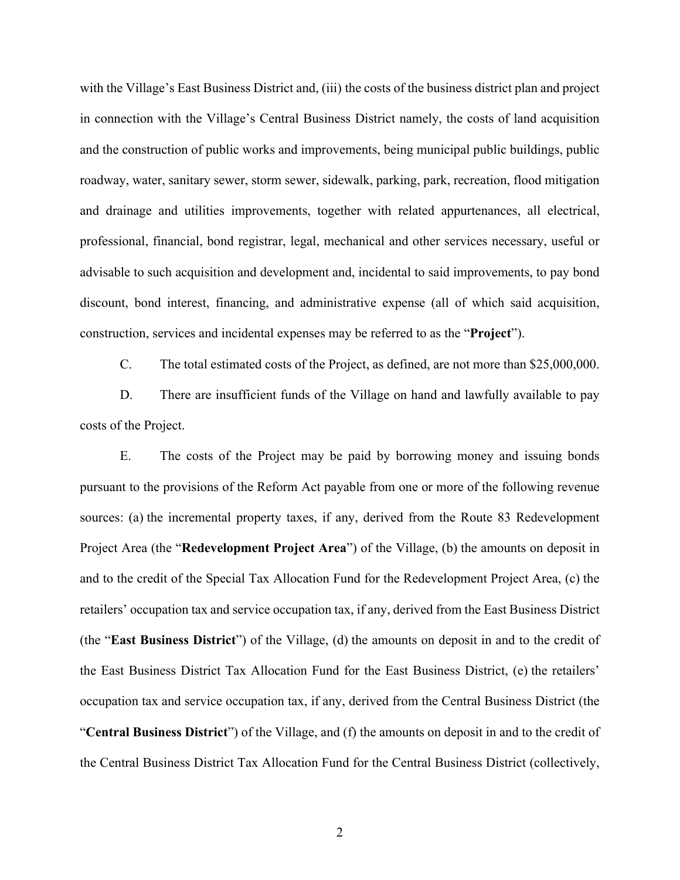with the Village's East Business District and, (iii) the costs of the business district plan and project in connection with the Village's Central Business District namely, the costs of land acquisition and the construction of public works and improvements, being municipal public buildings, public roadway, water, sanitary sewer, storm sewer, sidewalk, parking, park, recreation, flood mitigation and drainage and utilities improvements, together with related appurtenances, all electrical, professional, financial, bond registrar, legal, mechanical and other services necessary, useful or advisable to such acquisition and development and, incidental to said improvements, to pay bond discount, bond interest, financing, and administrative expense (all of which said acquisition, construction, services and incidental expenses may be referred to as the "**Project**").

C. The total estimated costs of the Project, as defined, are not more than \$25,000,000.

D. There are insufficient funds of the Village on hand and lawfully available to pay costs of the Project.

E. The costs of the Project may be paid by borrowing money and issuing bonds pursuant to the provisions of the Reform Act payable from one or more of the following revenue sources: (a) the incremental property taxes, if any, derived from the Route 83 Redevelopment Project Area (the "**Redevelopment Project Area**") of the Village, (b) the amounts on deposit in and to the credit of the Special Tax Allocation Fund for the Redevelopment Project Area, (c) the retailers' occupation tax and service occupation tax, if any, derived from the East Business District (the "**East Business District**") of the Village, (d) the amounts on deposit in and to the credit of the East Business District Tax Allocation Fund for the East Business District, (e) the retailers' occupation tax and service occupation tax, if any, derived from the Central Business District (the "**Central Business District**") of the Village, and (f) the amounts on deposit in and to the credit of the Central Business District Tax Allocation Fund for the Central Business District (collectively,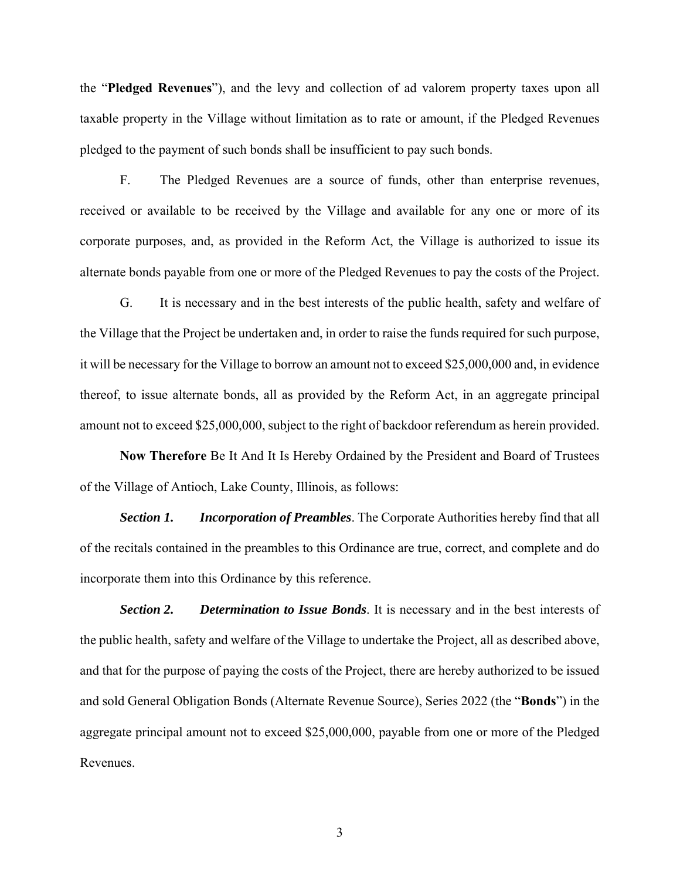the "**Pledged Revenues**"), and the levy and collection of ad valorem property taxes upon all taxable property in the Village without limitation as to rate or amount, if the Pledged Revenues pledged to the payment of such bonds shall be insufficient to pay such bonds.

F. The Pledged Revenues are a source of funds, other than enterprise revenues, received or available to be received by the Village and available for any one or more of its corporate purposes, and, as provided in the Reform Act, the Village is authorized to issue its alternate bonds payable from one or more of the Pledged Revenues to pay the costs of the Project.

G. It is necessary and in the best interests of the public health, safety and welfare of the Village that the Project be undertaken and, in order to raise the funds required for such purpose, it will be necessary for the Village to borrow an amount not to exceed \$25,000,000 and, in evidence thereof, to issue alternate bonds, all as provided by the Reform Act, in an aggregate principal amount not to exceed \$25,000,000, subject to the right of backdoor referendum as herein provided.

**Now Therefore** Be It And It Is Hereby Ordained by the President and Board of Trustees of the Village of Antioch, Lake County, Illinois, as follows:

*Section 1. Incorporation of Preambles*. The Corporate Authorities hereby find that all of the recitals contained in the preambles to this Ordinance are true, correct, and complete and do incorporate them into this Ordinance by this reference.

*Section 2. Determination to Issue Bonds*. It is necessary and in the best interests of the public health, safety and welfare of the Village to undertake the Project, all as described above, and that for the purpose of paying the costs of the Project, there are hereby authorized to be issued and sold General Obligation Bonds (Alternate Revenue Source), Series 2022 (the "**Bonds**") in the aggregate principal amount not to exceed \$25,000,000, payable from one or more of the Pledged Revenues.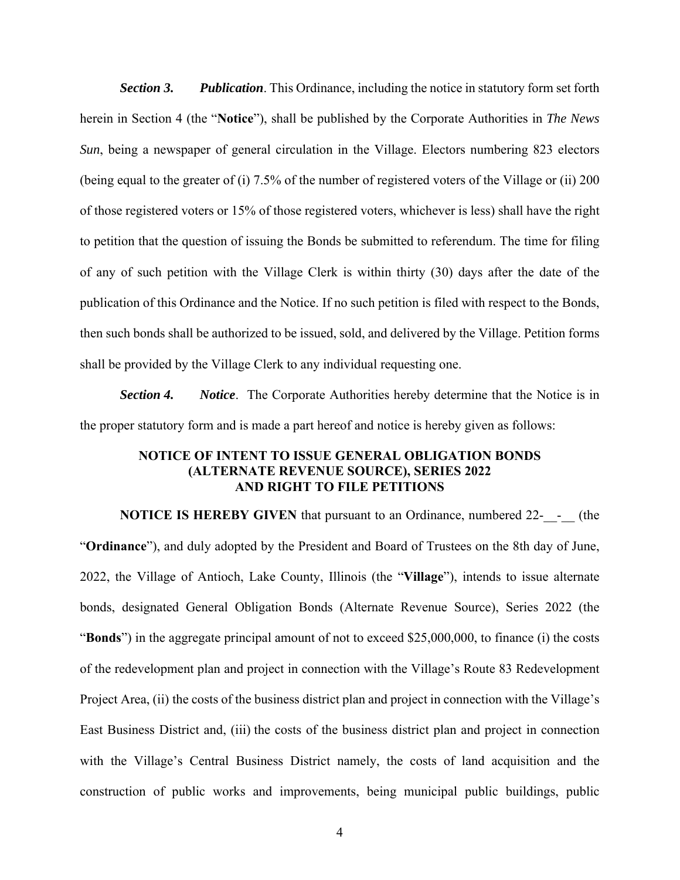*Section 3. Publication*. This Ordinance, including the notice in statutory form set forth herein in Section 4 (the "**Notice**"), shall be published by the Corporate Authorities in *The News Sun*, being a newspaper of general circulation in the Village. Electors numbering 823 electors (being equal to the greater of (i) 7.5% of the number of registered voters of the Village or (ii) 200 of those registered voters or 15% of those registered voters, whichever is less) shall have the right to petition that the question of issuing the Bonds be submitted to referendum. The time for filing of any of such petition with the Village Clerk is within thirty (30) days after the date of the publication of this Ordinance and the Notice. If no such petition is filed with respect to the Bonds, then such bonds shall be authorized to be issued, sold, and delivered by the Village. Petition forms shall be provided by the Village Clerk to any individual requesting one.

*Section 4. Notice*. The Corporate Authorities hereby determine that the Notice is in the proper statutory form and is made a part hereof and notice is hereby given as follows:

#### **NOTICE OF INTENT TO ISSUE GENERAL OBLIGATION BONDS (ALTERNATE REVENUE SOURCE), SERIES 2022 AND RIGHT TO FILE PETITIONS**

**NOTICE IS HEREBY GIVEN** that pursuant to an Ordinance, numbered 22- - (the "**Ordinance**"), and duly adopted by the President and Board of Trustees on the 8th day of June, 2022, the Village of Antioch, Lake County, Illinois (the "**Village**"), intends to issue alternate bonds, designated General Obligation Bonds (Alternate Revenue Source), Series 2022 (the "**Bonds**") in the aggregate principal amount of not to exceed \$25,000,000, to finance (i) the costs of the redevelopment plan and project in connection with the Village's Route 83 Redevelopment Project Area, (ii) the costs of the business district plan and project in connection with the Village's East Business District and, (iii) the costs of the business district plan and project in connection with the Village's Central Business District namely, the costs of land acquisition and the construction of public works and improvements, being municipal public buildings, public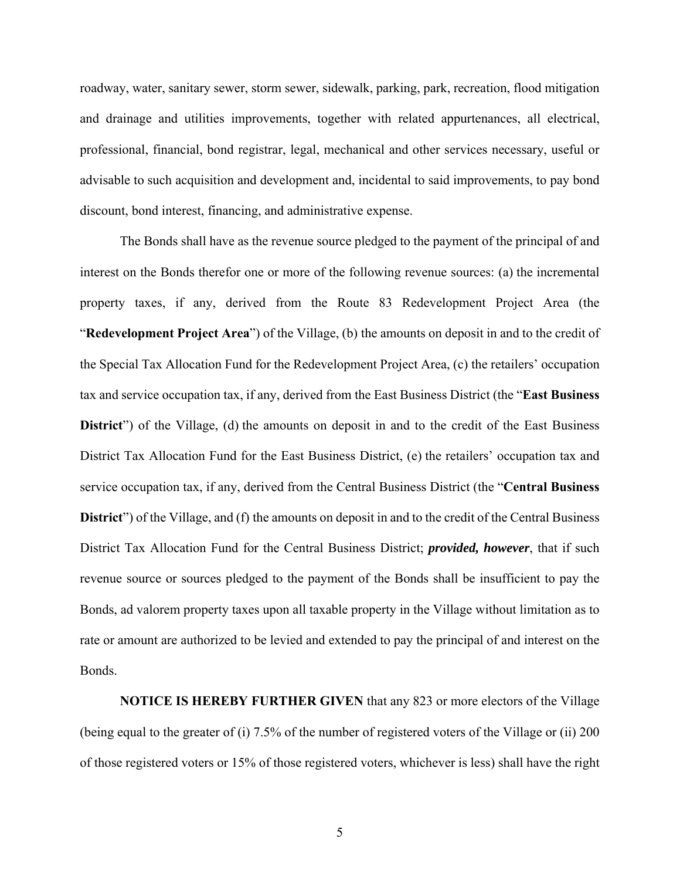roadway, water, sanitary sewer, storm sewer, sidewalk, parking, park, recreation, flood mitigation and drainage and utilities improvements, together with related appurtenances, all electrical, professional, financial, bond registrar, legal, mechanical and other services necessary, useful or advisable to such acquisition and development and, incidental to said improvements, to pay bond discount, bond interest, financing, and administrative expense.

The Bonds shall have as the revenue source pledged to the payment of the principal of and interest on the Bonds therefor one or more of the following revenue sources: (a) the incremental property taxes, if any, derived from the Route 83 Redevelopment Project Area (the "**Redevelopment Project Area**") of the Village, (b) the amounts on deposit in and to the credit of the Special Tax Allocation Fund for the Redevelopment Project Area, (c) the retailers' occupation tax and service occupation tax, if any, derived from the East Business District (the "**East Business District**") of the Village, (d) the amounts on deposit in and to the credit of the East Business District Tax Allocation Fund for the East Business District, (e) the retailers' occupation tax and service occupation tax, if any, derived from the Central Business District (the "**Central Business District**") of the Village, and (f) the amounts on deposit in and to the credit of the Central Business District Tax Allocation Fund for the Central Business District; *provided, however*, that if such revenue source or sources pledged to the payment of the Bonds shall be insufficient to pay the Bonds, ad valorem property taxes upon all taxable property in the Village without limitation as to rate or amount are authorized to be levied and extended to pay the principal of and interest on the Bonds.

**NOTICE IS HEREBY FURTHER GIVEN** that any 823 or more electors of the Village (being equal to the greater of (i) 7.5% of the number of registered voters of the Village or (ii) 200 of those registered voters or 15% of those registered voters, whichever is less) shall have the right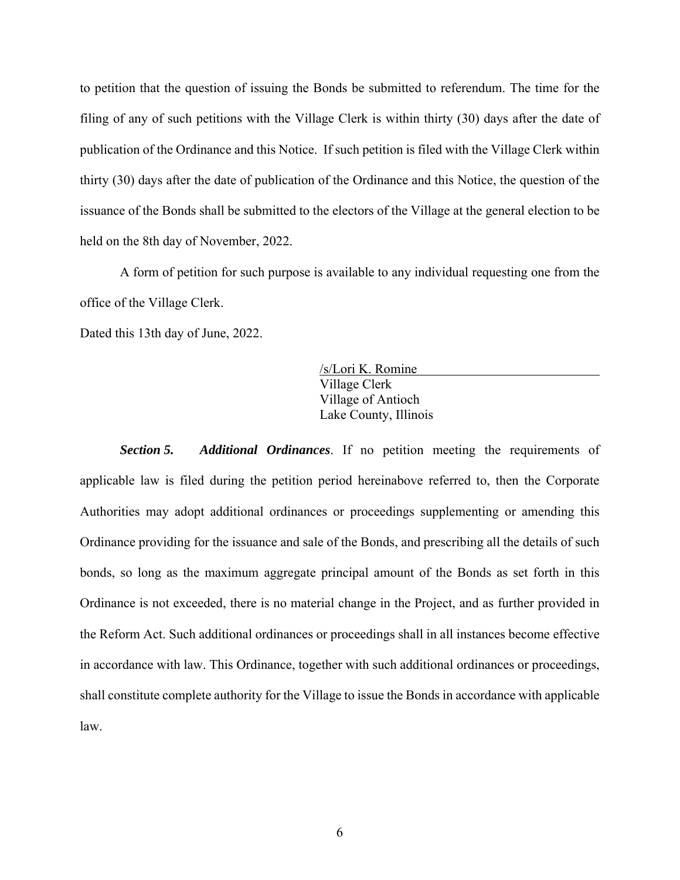to petition that the question of issuing the Bonds be submitted to referendum. The time for the filing of any of such petitions with the Village Clerk is within thirty (30) days after the date of publication of the Ordinance and this Notice. If such petition is filed with the Village Clerk within thirty (30) days after the date of publication of the Ordinance and this Notice, the question of the issuance of the Bonds shall be submitted to the electors of the Village at the general election to be held on the 8th day of November, 2022.

A form of petition for such purpose is available to any individual requesting one from the office of the Village Clerk.

Dated this 13th day of June, 2022.

/s/Lori K. Romine Village Clerk Village of Antioch Lake County, Illinois

*Section 5. Additional Ordinances*. If no petition meeting the requirements of applicable law is filed during the petition period hereinabove referred to, then the Corporate Authorities may adopt additional ordinances or proceedings supplementing or amending this Ordinance providing for the issuance and sale of the Bonds, and prescribing all the details of such bonds, so long as the maximum aggregate principal amount of the Bonds as set forth in this Ordinance is not exceeded, there is no material change in the Project, and as further provided in the Reform Act. Such additional ordinances or proceedings shall in all instances become effective in accordance with law. This Ordinance, together with such additional ordinances or proceedings, shall constitute complete authority for the Village to issue the Bonds in accordance with applicable law.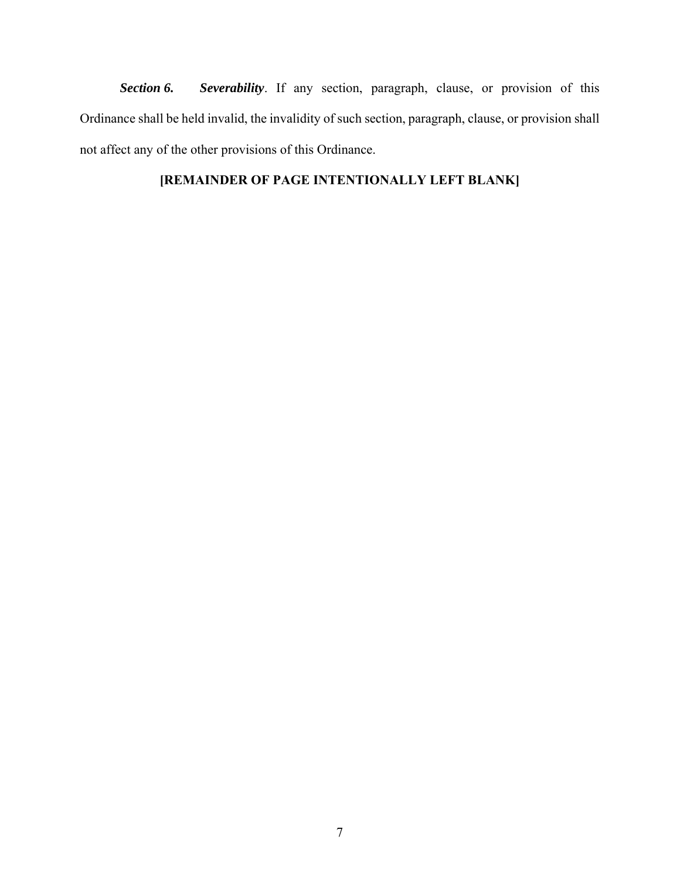*Section 6. Severability*. If any section, paragraph, clause, or provision of this Ordinance shall be held invalid, the invalidity of such section, paragraph, clause, or provision shall not affect any of the other provisions of this Ordinance.

# **[REMAINDER OF PAGE INTENTIONALLY LEFT BLANK]**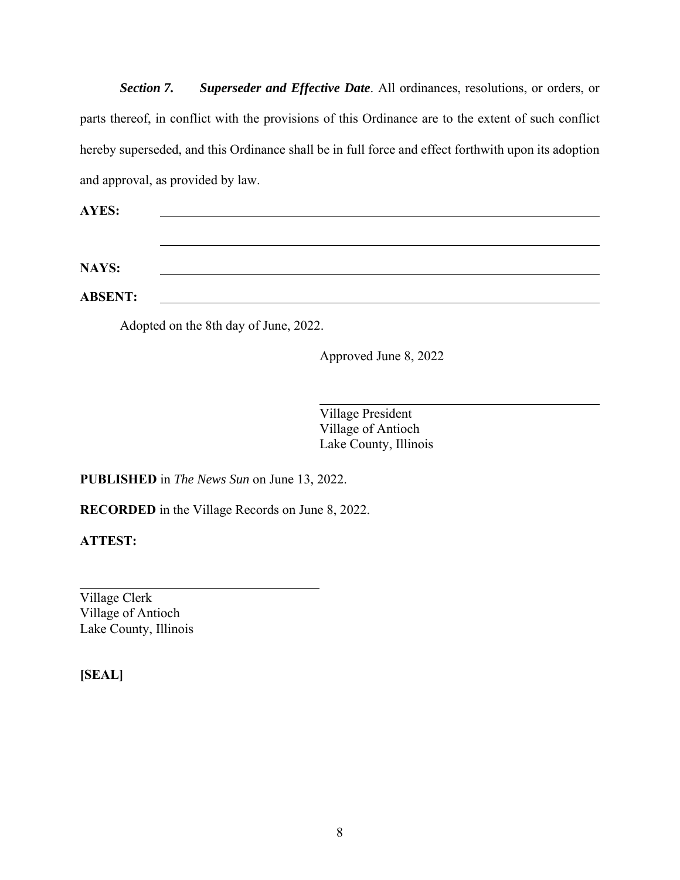*Section 7. Superseder and Effective Date*. All ordinances, resolutions, or orders, or parts thereof, in conflict with the provisions of this Ordinance are to the extent of such conflict hereby superseded, and this Ordinance shall be in full force and effect forthwith upon its adoption and approval, as provided by law.

**AYES:**

**NAYS:** 

**ABSENT:**

Adopted on the 8th day of June, 2022.

Approved June 8, 2022

Village President Village of Antioch Lake County, Illinois

 $\overline{a}$ 

**PUBLISHED** in *The News Sun* on June 13, 2022.

**RECORDED** in the Village Records on June 8, 2022.

**ATTEST:** 

 $\overline{a}$ Village Clerk Village of Antioch Lake County, Illinois

**[SEAL]**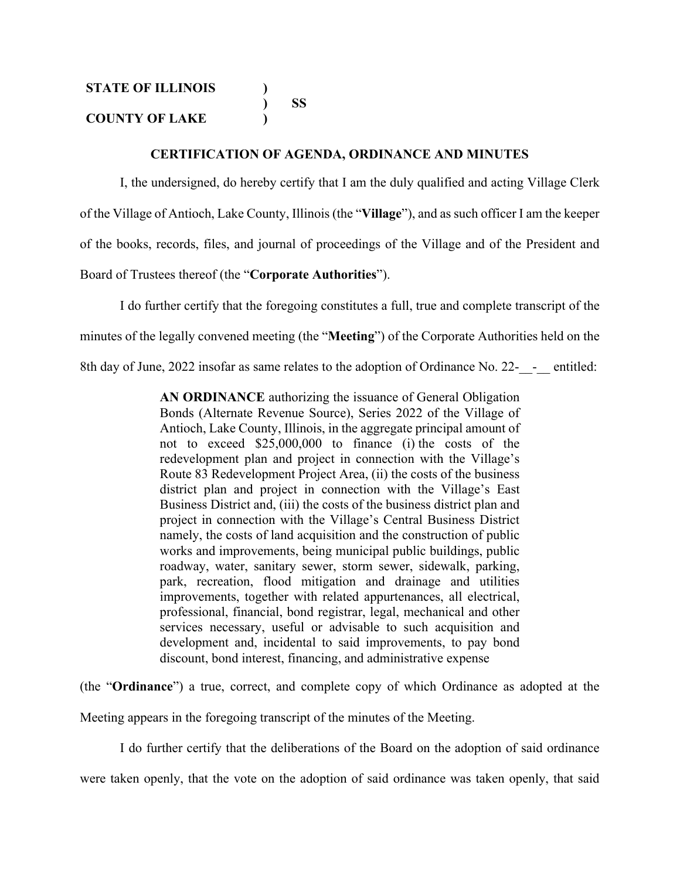#### **CERTIFICATION OF AGENDA, ORDINANCE AND MINUTES**

I, the undersigned, do hereby certify that I am the duly qualified and acting Village Clerk of the Village of Antioch, Lake County, Illinois (the "**Village**"), and as such officer I am the keeper of the books, records, files, and journal of proceedings of the Village and of the President and Board of Trustees thereof (the "**Corporate Authorities**").

I do further certify that the foregoing constitutes a full, true and complete transcript of the minutes of the legally convened meeting (the "**Meeting**") of the Corporate Authorities held on the 8th day of June, 2022 insofar as same relates to the adoption of Ordinance No. 22--- entitled:

> **AN ORDINANCE** authorizing the issuance of General Obligation Bonds (Alternate Revenue Source), Series 2022 of the Village of Antioch, Lake County, Illinois, in the aggregate principal amount of not to exceed \$25,000,000 to finance (i) the costs of the redevelopment plan and project in connection with the Village's Route 83 Redevelopment Project Area, (ii) the costs of the business district plan and project in connection with the Village's East Business District and, (iii) the costs of the business district plan and project in connection with the Village's Central Business District namely, the costs of land acquisition and the construction of public works and improvements, being municipal public buildings, public roadway, water, sanitary sewer, storm sewer, sidewalk, parking, park, recreation, flood mitigation and drainage and utilities improvements, together with related appurtenances, all electrical, professional, financial, bond registrar, legal, mechanical and other services necessary, useful or advisable to such acquisition and development and, incidental to said improvements, to pay bond discount, bond interest, financing, and administrative expense

(the "**Ordinance**") a true, correct, and complete copy of which Ordinance as adopted at the

Meeting appears in the foregoing transcript of the minutes of the Meeting.

I do further certify that the deliberations of the Board on the adoption of said ordinance

were taken openly, that the vote on the adoption of said ordinance was taken openly, that said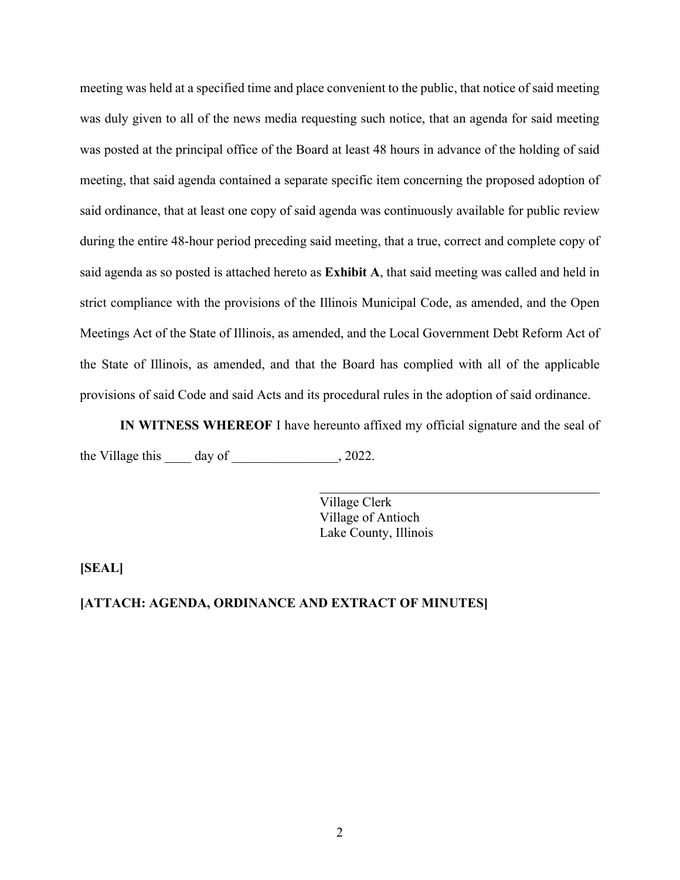meeting was held at a specified time and place convenient to the public, that notice of said meeting was duly given to all of the news media requesting such notice, that an agenda for said meeting was posted at the principal office of the Board at least 48 hours in advance of the holding of said meeting, that said agenda contained a separate specific item concerning the proposed adoption of said ordinance, that at least one copy of said agenda was continuously available for public review during the entire 48-hour period preceding said meeting, that a true, correct and complete copy of said agenda as so posted is attached hereto as **Exhibit A**, that said meeting was called and held in strict compliance with the provisions of the Illinois Municipal Code, as amended, and the Open Meetings Act of the State of Illinois, as amended, and the Local Government Debt Reform Act of the State of Illinois, as amended, and that the Board has complied with all of the applicable provisions of said Code and said Acts and its procedural rules in the adoption of said ordinance.

**IN WITNESS WHEREOF** I have hereunto affixed my official signature and the seal of the Village this  $\_\_\_\_\_\$  day of  $\_\_\_\_\_\_\_\_\_\_$ , 2022.

l

Village Clerk Village of Antioch Lake County, Illinois

**[SEAL]** 

#### **[ATTACH: AGENDA, ORDINANCE AND EXTRACT OF MINUTES]**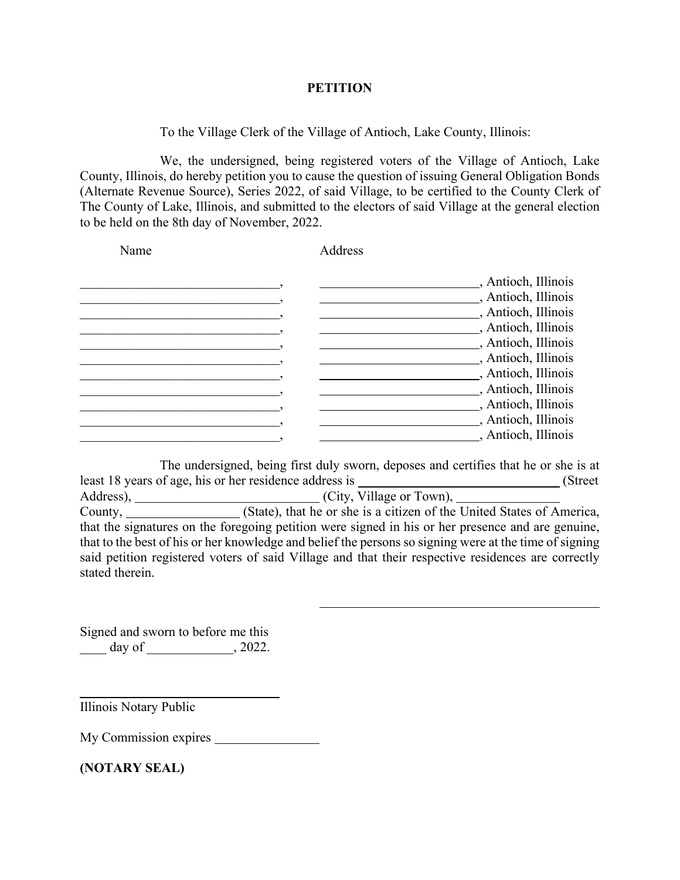#### **PETITION**

To the Village Clerk of the Village of Antioch, Lake County, Illinois:

We, the undersigned, being registered voters of the Village of Antioch, Lake County, Illinois, do hereby petition you to cause the question of issuing General Obligation Bonds (Alternate Revenue Source), Series 2022, of said Village, to be certified to the County Clerk of The County of Lake, Illinois, and submitted to the electors of said Village at the general election to be held on the 8th day of November, 2022.

| Name | Address |                                                                                                                                         |
|------|---------|-----------------------------------------------------------------------------------------------------------------------------------------|
|      |         | _, Antioch, Illinois<br>, Antioch, Illinois<br>, Antioch, Illinois<br>, Antioch, Illinois<br>, Antioch, Illinois<br>, Antioch, Illinois |
|      |         | , Antioch, Illinois<br>, Antioch, Illinois<br>, Antioch, Illinois<br>, Antioch, Illinois<br>, Antioch, Illinois                         |

The undersigned, being first duly sworn, deposes and certifies that he or she is at least 18 years of age, his or her residence address is (Street Address), \_\_\_\_\_\_\_\_\_\_\_\_\_\_\_\_\_\_\_\_\_\_\_\_\_\_\_\_\_\_\_\_(City, Village or Town), County, \_\_\_\_\_\_\_\_\_\_\_\_\_\_\_\_\_\_(State), that he or she is a citizen of the United States of America, that the signatures on the foregoing petition were signed in his or her presence and are genuine, that to the best of his or her knowledge and belief the persons so signing were at the time of signing said petition registered voters of said Village and that their respective residences are correctly stated therein.

 $\overline{a}$ 

Signed and sworn to before me this  $\frac{day \text{ of }_{2000}}{x}$ , 2022.

Illinois Notary Public

 $\overline{a}$ 

My Commission expires

**(NOTARY SEAL)**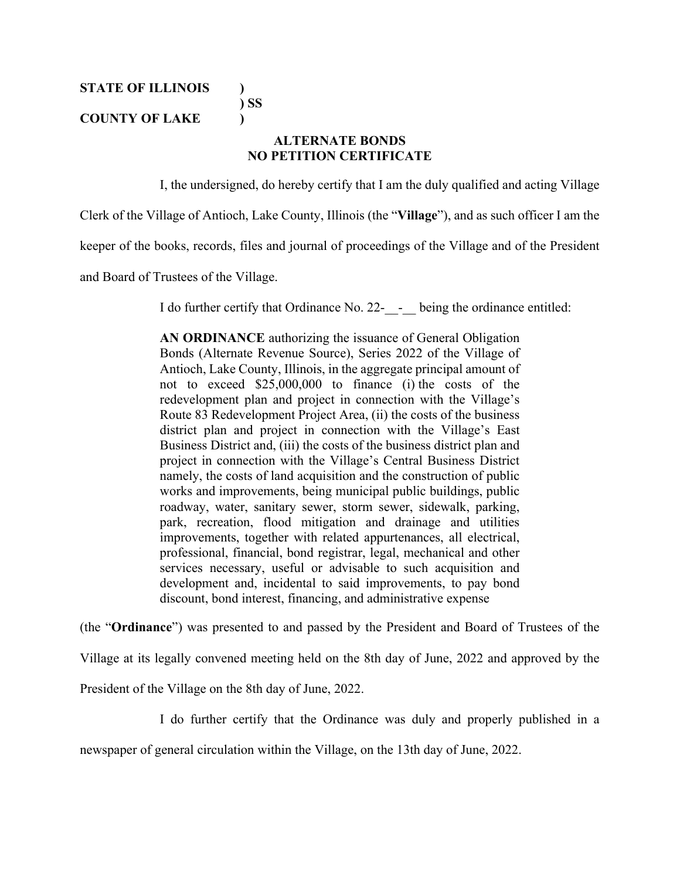**STATE OF ILLINOIS )** 

 **) SS** 

### **COUNTY OF LAKE )**

### **ALTERNATE BONDS NO PETITION CERTIFICATE**

I, the undersigned, do hereby certify that I am the duly qualified and acting Village

Clerk of the Village of Antioch, Lake County, Illinois (the "**Village**"), and as such officer I am the

keeper of the books, records, files and journal of proceedings of the Village and of the President

and Board of Trustees of the Village.

I do further certify that Ordinance No. 22- - being the ordinance entitled:

**AN ORDINANCE** authorizing the issuance of General Obligation Bonds (Alternate Revenue Source), Series 2022 of the Village of Antioch, Lake County, Illinois, in the aggregate principal amount of not to exceed \$25,000,000 to finance (i) the costs of the redevelopment plan and project in connection with the Village's Route 83 Redevelopment Project Area, (ii) the costs of the business district plan and project in connection with the Village's East Business District and, (iii) the costs of the business district plan and project in connection with the Village's Central Business District namely, the costs of land acquisition and the construction of public works and improvements, being municipal public buildings, public roadway, water, sanitary sewer, storm sewer, sidewalk, parking, park, recreation, flood mitigation and drainage and utilities improvements, together with related appurtenances, all electrical, professional, financial, bond registrar, legal, mechanical and other services necessary, useful or advisable to such acquisition and development and, incidental to said improvements, to pay bond discount, bond interest, financing, and administrative expense

(the "**Ordinance**") was presented to and passed by the President and Board of Trustees of the

Village at its legally convened meeting held on the 8th day of June, 2022 and approved by the

President of the Village on the 8th day of June, 2022.

I do further certify that the Ordinance was duly and properly published in a

newspaper of general circulation within the Village, on the 13th day of June, 2022.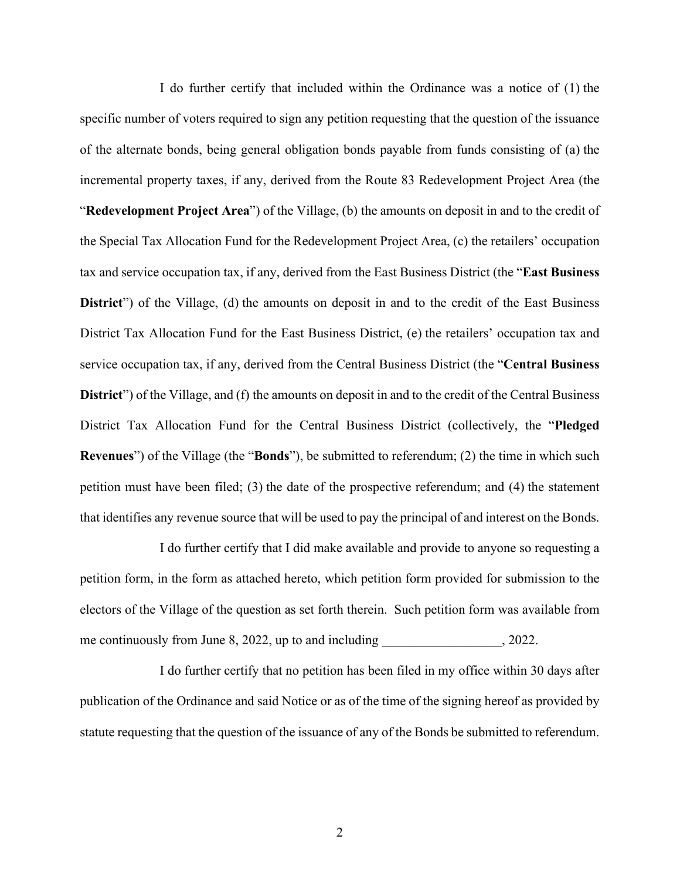I do further certify that included within the Ordinance was a notice of (1) the specific number of voters required to sign any petition requesting that the question of the issuance of the alternate bonds, being general obligation bonds payable from funds consisting of (a) the incremental property taxes, if any, derived from the Route 83 Redevelopment Project Area (the "**Redevelopment Project Area**") of the Village, (b) the amounts on deposit in and to the credit of the Special Tax Allocation Fund for the Redevelopment Project Area, (c) the retailers' occupation tax and service occupation tax, if any, derived from the East Business District (the "**East Business District**") of the Village, (d) the amounts on deposit in and to the credit of the East Business District Tax Allocation Fund for the East Business District, (e) the retailers' occupation tax and service occupation tax, if any, derived from the Central Business District (the "**Central Business District**") of the Village, and (f) the amounts on deposit in and to the credit of the Central Business District Tax Allocation Fund for the Central Business District (collectively, the "**Pledged Revenues**") of the Village (the "**Bonds**"), be submitted to referendum; (2) the time in which such petition must have been filed; (3) the date of the prospective referendum; and (4) the statement that identifies any revenue source that will be used to pay the principal of and interest on the Bonds.

I do further certify that I did make available and provide to anyone so requesting a petition form, in the form as attached hereto, which petition form provided for submission to the electors of the Village of the question as set forth therein. Such petition form was available from me continuously from June  $8, 2022$ , up to and including  $\qquad \qquad$ , 2022.

I do further certify that no petition has been filed in my office within 30 days after publication of the Ordinance and said Notice or as of the time of the signing hereof as provided by statute requesting that the question of the issuance of any of the Bonds be submitted to referendum.